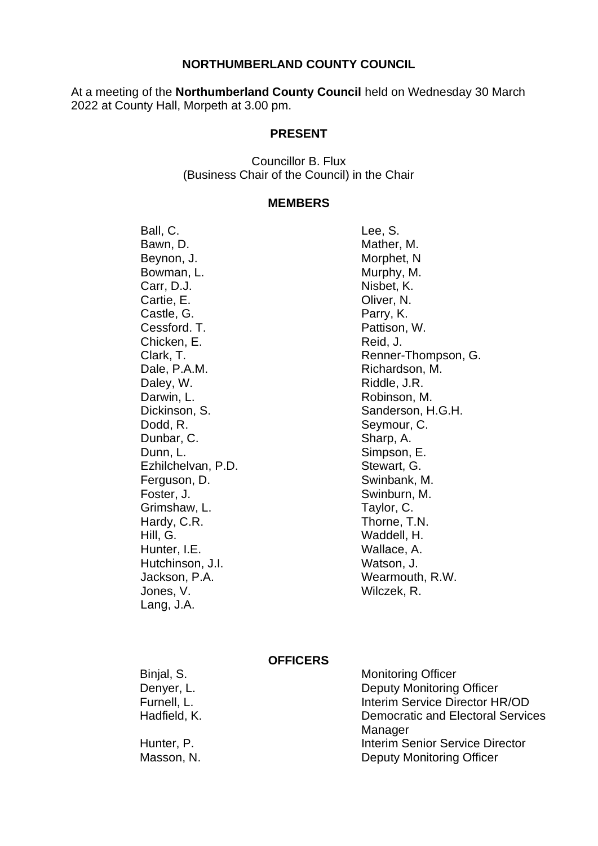#### **NORTHUMBERLAND COUNTY COUNCIL**

At a meeting of the **Northumberland County Council** held on Wednesday 30 March 2022 at County Hall, Morpeth at 3.00 pm.

#### **PRESENT**

Councillor B. Flux (Business Chair of the Council) in the Chair

#### **MEMBERS**

Ball, C. Bawn, D. Beynon, J. Bowman, L. Carr, D.J. Cartie, E. Castle, G. Cessford. T. Chicken, E. Clark, T. Dale, P.A.M. Daley, W. Darwin, L. Dickinson, S. Dodd, R. Dunbar, C. Dunn, L. Ezhilchelvan, P.D. Ferguson, D. Foster, J. Grimshaw, L. Hardy, C.R. Hill, G. Hunter, I.E. Hutchinson, J.I. Jackson, P.A. Jones, V. Lang, J.A.

Lee, S. Mather, M. Morphet, N Murphy, M. Nisbet, K. Oliver, N. Parry, K. Pattison, W. Reid, J. Renner-Thompson, G. Richardson, M. Riddle, J.R. Robinson, M. Sanderson, H.G.H. Seymour, C. Sharp, A. Simpson, E. Stewart, G. Swinbank, M. Swinburn, M. Taylor, C. Thorne, T.N. Waddell, H. Wallace, A. Watson, J. Wearmouth, R.W. Wilczek, R.

#### **OFFICERS**

Binjal, S. Denyer, L. Furnell, L. Hadfield, K.

Hunter, P. Masson, N. Monitoring Officer Deputy Monitoring Officer Interim Service Director HR/OD Democratic and Electoral Services Manager Interim Senior Service Director Deputy Monitoring Officer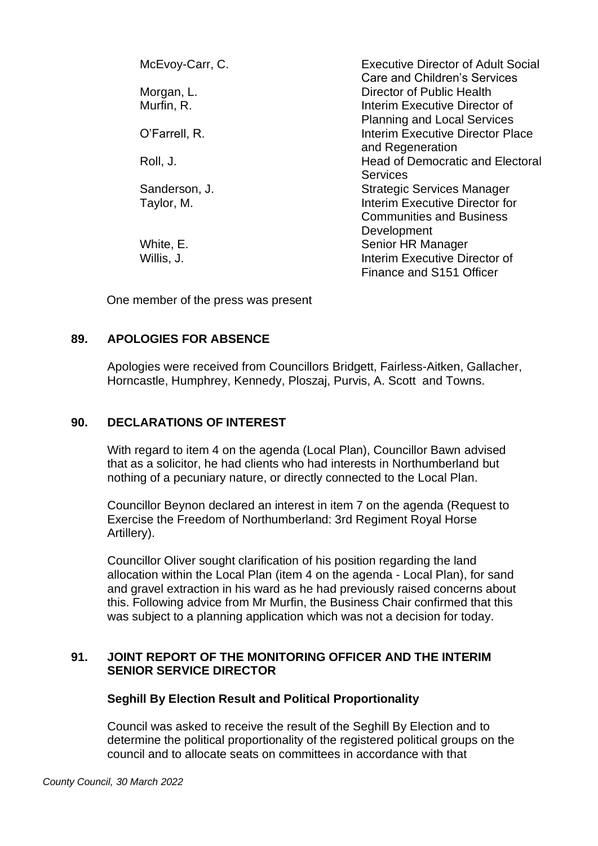| McEvoy-Carr, C. | <b>Executive Director of Adult Social</b><br>Care and Children's Services |
|-----------------|---------------------------------------------------------------------------|
| Morgan, L.      | Director of Public Health                                                 |
| Murfin, R.      | Interim Executive Director of                                             |
|                 | <b>Planning and Local Services</b>                                        |
| O'Farrell, R.   | Interim Executive Director Place                                          |
|                 | and Regeneration                                                          |
| Roll, J.        | <b>Head of Democratic and Electoral</b>                                   |
|                 | <b>Services</b>                                                           |
| Sanderson, J.   | <b>Strategic Services Manager</b>                                         |
| Taylor, M.      | Interim Executive Director for                                            |
|                 | <b>Communities and Business</b>                                           |
|                 | Development                                                               |
| White, E.       | Senior HR Manager                                                         |
| Willis, J.      | Interim Executive Director of                                             |
|                 | Finance and S151 Officer                                                  |

One member of the press was present

## **89. APOLOGIES FOR ABSENCE**

Apologies were received from Councillors Bridgett, Fairless-Aitken, Gallacher, Horncastle, Humphrey, Kennedy, Ploszaj, Purvis, A. Scott and Towns.

## **90. DECLARATIONS OF INTEREST**

With regard to item 4 on the agenda (Local Plan), Councillor Bawn advised that as a solicitor, he had clients who had interests in Northumberland but nothing of a pecuniary nature, or directly connected to the Local Plan.

Councillor Beynon declared an interest in item 7 on the agenda (Request to Exercise the Freedom of Northumberland: 3rd Regiment Royal Horse Artillery).

Councillor Oliver sought clarification of his position regarding the land allocation within the Local Plan (item 4 on the agenda - Local Plan), for sand and gravel extraction in his ward as he had previously raised concerns about this. Following advice from Mr Murfin, the Business Chair confirmed that this was subject to a planning application which was not a decision for today.

### **91. JOINT REPORT OF THE MONITORING OFFICER AND THE INTERIM SENIOR SERVICE DIRECTOR**

### **Seghill By Election Result and Political Proportionality**

Council was asked to receive the result of the Seghill By Election and to determine the political proportionality of the registered political groups on the council and to allocate seats on committees in accordance with that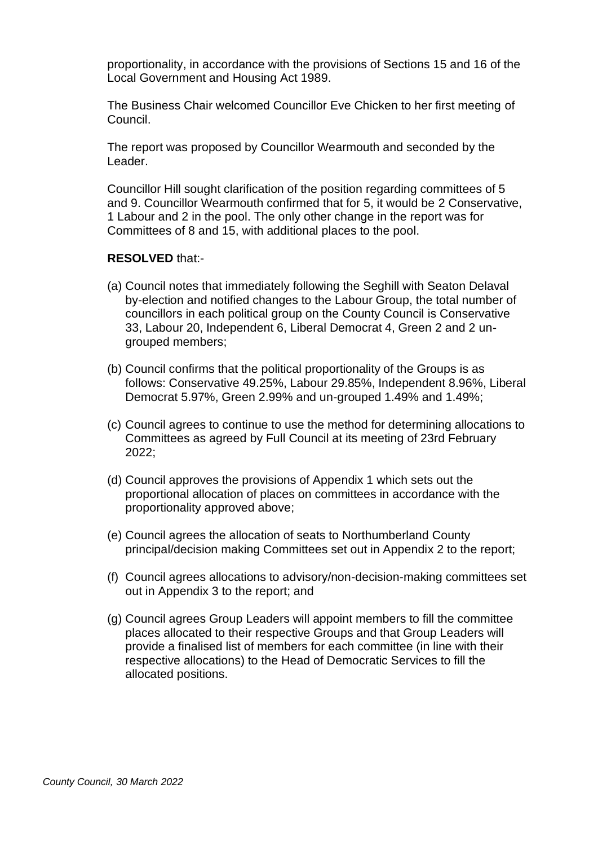proportionality, in accordance with the provisions of Sections 15 and 16 of the Local Government and Housing Act 1989.

The Business Chair welcomed Councillor Eve Chicken to her first meeting of Council.

The report was proposed by Councillor Wearmouth and seconded by the Leader.

Councillor Hill sought clarification of the position regarding committees of 5 and 9. Councillor Wearmouth confirmed that for 5, it would be 2 Conservative, 1 Labour and 2 in the pool. The only other change in the report was for Committees of 8 and 15, with additional places to the pool.

#### **RESOLVED** that:-

- (a) Council notes that immediately following the Seghill with Seaton Delaval by-election and notified changes to the Labour Group, the total number of councillors in each political group on the County Council is Conservative 33, Labour 20, Independent 6, Liberal Democrat 4, Green 2 and 2 ungrouped members;
- (b) Council confirms that the political proportionality of the Groups is as follows: Conservative 49.25%, Labour 29.85%, Independent 8.96%, Liberal Democrat 5.97%, Green 2.99% and un-grouped 1.49% and 1.49%;
- (c) Council agrees to continue to use the method for determining allocations to Committees as agreed by Full Council at its meeting of 23rd February 2022;
- (d) Council approves the provisions of Appendix 1 which sets out the proportional allocation of places on committees in accordance with the proportionality approved above;
- (e) Council agrees the allocation of seats to Northumberland County principal/decision making Committees set out in Appendix 2 to the report;
- (f) Council agrees allocations to advisory/non-decision-making committees set out in Appendix 3 to the report; and
- (g) Council agrees Group Leaders will appoint members to fill the committee places allocated to their respective Groups and that Group Leaders will provide a finalised list of members for each committee (in line with their respective allocations) to the Head of Democratic Services to fill the allocated positions.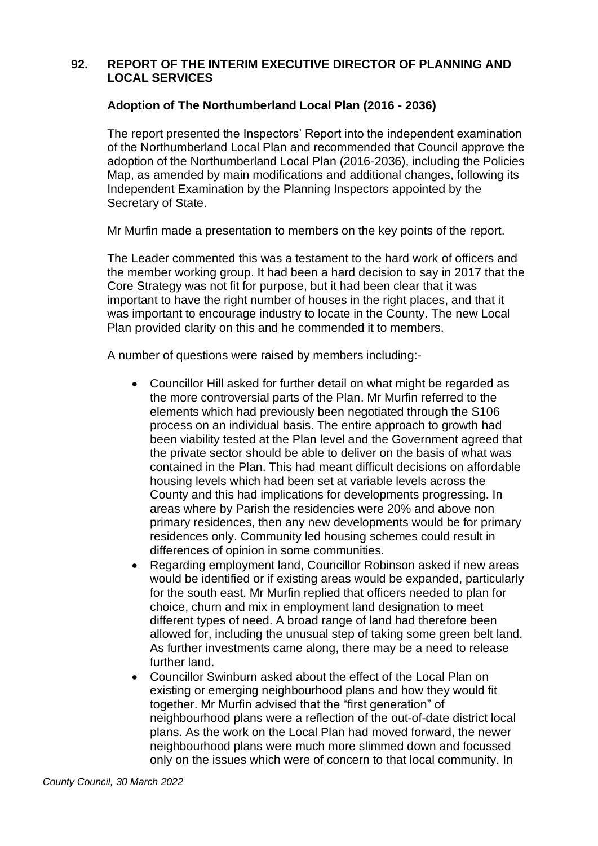## **92. REPORT OF THE INTERIM EXECUTIVE DIRECTOR OF PLANNING AND LOCAL SERVICES**

## **Adoption of The Northumberland Local Plan (2016 - 2036)**

The report presented the Inspectors' Report into the independent examination of the Northumberland Local Plan and recommended that Council approve the adoption of the Northumberland Local Plan (2016-2036), including the Policies Map, as amended by main modifications and additional changes, following its Independent Examination by the Planning Inspectors appointed by the Secretary of State.

Mr Murfin made a presentation to members on the key points of the report.

The Leader commented this was a testament to the hard work of officers and the member working group. It had been a hard decision to say in 2017 that the Core Strategy was not fit for purpose, but it had been clear that it was important to have the right number of houses in the right places, and that it was important to encourage industry to locate in the County. The new Local Plan provided clarity on this and he commended it to members.

A number of questions were raised by members including:-

- Councillor Hill asked for further detail on what might be regarded as the more controversial parts of the Plan. Mr Murfin referred to the elements which had previously been negotiated through the S106 process on an individual basis. The entire approach to growth had been viability tested at the Plan level and the Government agreed that the private sector should be able to deliver on the basis of what was contained in the Plan. This had meant difficult decisions on affordable housing levels which had been set at variable levels across the County and this had implications for developments progressing. In areas where by Parish the residencies were 20% and above non primary residences, then any new developments would be for primary residences only. Community led housing schemes could result in differences of opinion in some communities.
- Regarding employment land, Councillor Robinson asked if new areas would be identified or if existing areas would be expanded, particularly for the south east. Mr Murfin replied that officers needed to plan for choice, churn and mix in employment land designation to meet different types of need. A broad range of land had therefore been allowed for, including the unusual step of taking some green belt land. As further investments came along, there may be a need to release further land.
- Councillor Swinburn asked about the effect of the Local Plan on existing or emerging neighbourhood plans and how they would fit together. Mr Murfin advised that the "first generation" of neighbourhood plans were a reflection of the out-of-date district local plans. As the work on the Local Plan had moved forward, the newer neighbourhood plans were much more slimmed down and focussed only on the issues which were of concern to that local community. In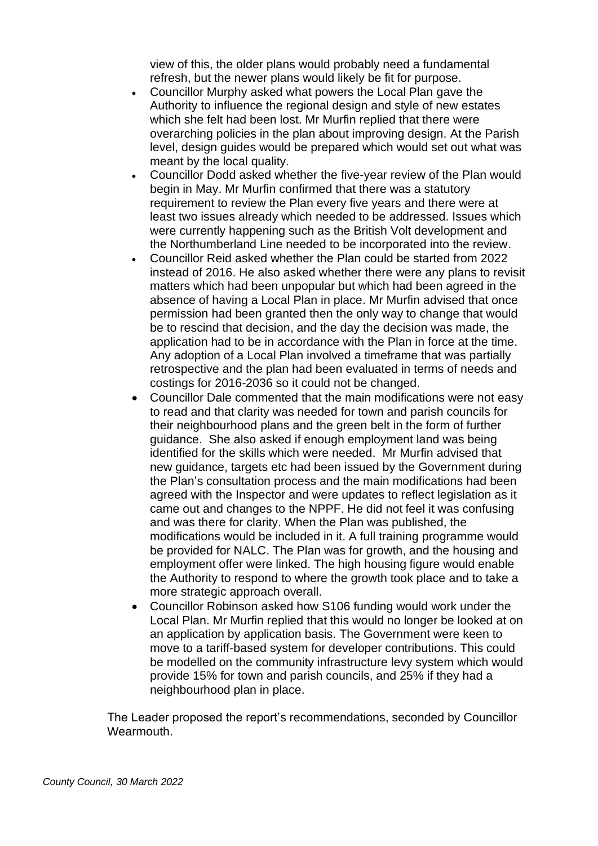view of this, the older plans would probably need a fundamental refresh, but the newer plans would likely be fit for purpose.

- Councillor Murphy asked what powers the Local Plan gave the Authority to influence the regional design and style of new estates which she felt had been lost. Mr Murfin replied that there were overarching policies in the plan about improving design. At the Parish level, design guides would be prepared which would set out what was meant by the local quality.
- Councillor Dodd asked whether the five-year review of the Plan would begin in May. Mr Murfin confirmed that there was a statutory requirement to review the Plan every five years and there were at least two issues already which needed to be addressed. Issues which were currently happening such as the British Volt development and the Northumberland Line needed to be incorporated into the review.
- Councillor Reid asked whether the Plan could be started from 2022 instead of 2016. He also asked whether there were any plans to revisit matters which had been unpopular but which had been agreed in the absence of having a Local Plan in place. Mr Murfin advised that once permission had been granted then the only way to change that would be to rescind that decision, and the day the decision was made, the application had to be in accordance with the Plan in force at the time. Any adoption of a Local Plan involved a timeframe that was partially retrospective and the plan had been evaluated in terms of needs and costings for 2016-2036 so it could not be changed.
- Councillor Dale commented that the main modifications were not easy to read and that clarity was needed for town and parish councils for their neighbourhood plans and the green belt in the form of further guidance. She also asked if enough employment land was being identified for the skills which were needed. Mr Murfin advised that new guidance, targets etc had been issued by the Government during the Plan's consultation process and the main modifications had been agreed with the Inspector and were updates to reflect legislation as it came out and changes to the NPPF. He did not feel it was confusing and was there for clarity. When the Plan was published, the modifications would be included in it. A full training programme would be provided for NALC. The Plan was for growth, and the housing and employment offer were linked. The high housing figure would enable the Authority to respond to where the growth took place and to take a more strategic approach overall.
- Councillor Robinson asked how S106 funding would work under the Local Plan. Mr Murfin replied that this would no longer be looked at on an application by application basis. The Government were keen to move to a tariff-based system for developer contributions. This could be modelled on the community infrastructure levy system which would provide 15% for town and parish councils, and 25% if they had a neighbourhood plan in place.

The Leader proposed the report's recommendations, seconded by Councillor Wearmouth.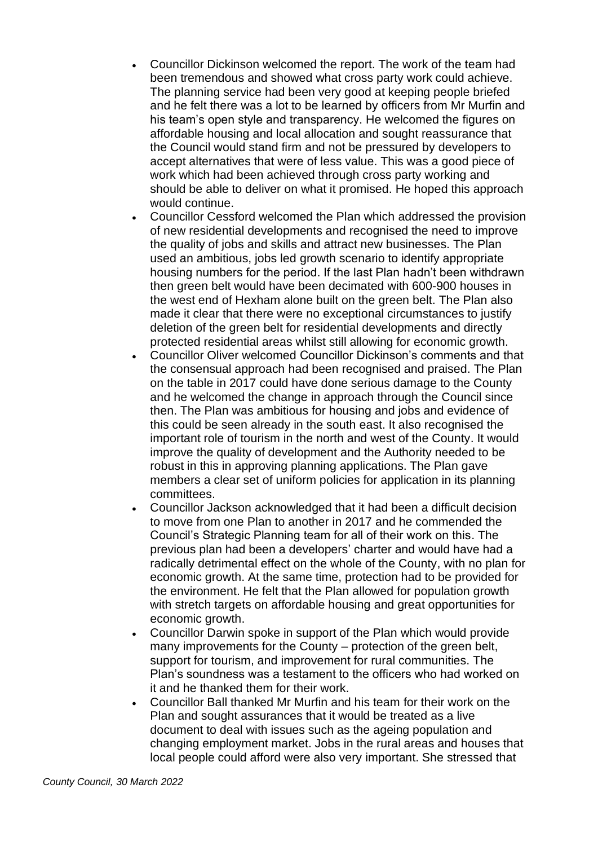- Councillor Dickinson welcomed the report. The work of the team had been tremendous and showed what cross party work could achieve. The planning service had been very good at keeping people briefed and he felt there was a lot to be learned by officers from Mr Murfin and his team's open style and transparency. He welcomed the figures on affordable housing and local allocation and sought reassurance that the Council would stand firm and not be pressured by developers to accept alternatives that were of less value. This was a good piece of work which had been achieved through cross party working and should be able to deliver on what it promised. He hoped this approach would continue.
- Councillor Cessford welcomed the Plan which addressed the provision of new residential developments and recognised the need to improve the quality of jobs and skills and attract new businesses. The Plan used an ambitious, jobs led growth scenario to identify appropriate housing numbers for the period. If the last Plan hadn't been withdrawn then green belt would have been decimated with 600-900 houses in the west end of Hexham alone built on the green belt. The Plan also made it clear that there were no exceptional circumstances to justify deletion of the green belt for residential developments and directly protected residential areas whilst still allowing for economic growth.
- Councillor Oliver welcomed Councillor Dickinson's comments and that the consensual approach had been recognised and praised. The Plan on the table in 2017 could have done serious damage to the County and he welcomed the change in approach through the Council since then. The Plan was ambitious for housing and jobs and evidence of this could be seen already in the south east. It also recognised the important role of tourism in the north and west of the County. It would improve the quality of development and the Authority needed to be robust in this in approving planning applications. The Plan gave members a clear set of uniform policies for application in its planning committees.
- Councillor Jackson acknowledged that it had been a difficult decision to move from one Plan to another in 2017 and he commended the Council's Strategic Planning team for all of their work on this. The previous plan had been a developers' charter and would have had a radically detrimental effect on the whole of the County, with no plan for economic growth. At the same time, protection had to be provided for the environment. He felt that the Plan allowed for population growth with stretch targets on affordable housing and great opportunities for economic growth.
- Councillor Darwin spoke in support of the Plan which would provide many improvements for the County – protection of the green belt, support for tourism, and improvement for rural communities. The Plan's soundness was a testament to the officers who had worked on it and he thanked them for their work.
- Councillor Ball thanked Mr Murfin and his team for their work on the Plan and sought assurances that it would be treated as a live document to deal with issues such as the ageing population and changing employment market. Jobs in the rural areas and houses that local people could afford were also very important. She stressed that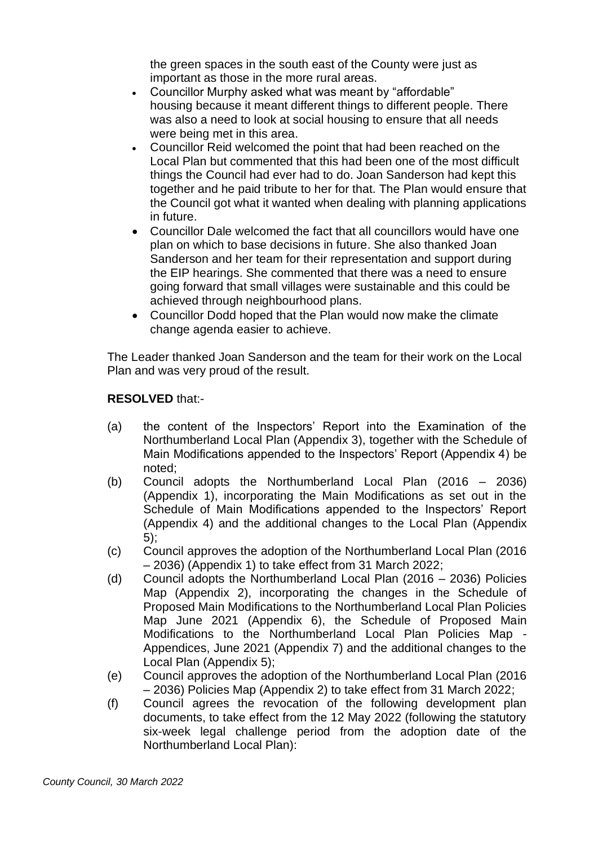the green spaces in the south east of the County were just as important as those in the more rural areas.

- Councillor Murphy asked what was meant by "affordable" housing because it meant different things to different people. There was also a need to look at social housing to ensure that all needs were being met in this area.
- Councillor Reid welcomed the point that had been reached on the Local Plan but commented that this had been one of the most difficult things the Council had ever had to do. Joan Sanderson had kept this together and he paid tribute to her for that. The Plan would ensure that the Council got what it wanted when dealing with planning applications in future.
- Councillor Dale welcomed the fact that all councillors would have one plan on which to base decisions in future. She also thanked Joan Sanderson and her team for their representation and support during the EIP hearings. She commented that there was a need to ensure going forward that small villages were sustainable and this could be achieved through neighbourhood plans.
- Councillor Dodd hoped that the Plan would now make the climate change agenda easier to achieve.

The Leader thanked Joan Sanderson and the team for their work on the Local Plan and was very proud of the result.

# **RESOLVED** that:-

- (a) the content of the Inspectors' Report into the Examination of the Northumberland Local Plan (Appendix 3), together with the Schedule of Main Modifications appended to the Inspectors' Report (Appendix 4) be noted;
- (b) Council adopts the Northumberland Local Plan (2016 2036) (Appendix 1), incorporating the Main Modifications as set out in the Schedule of Main Modifications appended to the Inspectors' Report (Appendix 4) and the additional changes to the Local Plan (Appendix 5);
- (c) Council approves the adoption of the Northumberland Local Plan (2016 – 2036) (Appendix 1) to take effect from 31 March 2022;
- (d) Council adopts the Northumberland Local Plan (2016 2036) Policies Map (Appendix 2), incorporating the changes in the Schedule of Proposed Main Modifications to the Northumberland Local Plan Policies Map June 2021 (Appendix 6), the Schedule of Proposed Main Modifications to the Northumberland Local Plan Policies Map - Appendices, June 2021 (Appendix 7) and the additional changes to the Local Plan (Appendix 5);
- (e) Council approves the adoption of the Northumberland Local Plan (2016 – 2036) Policies Map (Appendix 2) to take effect from 31 March 2022;
- (f) Council agrees the revocation of the following development plan documents, to take effect from the 12 May 2022 (following the statutory six-week legal challenge period from the adoption date of the Northumberland Local Plan):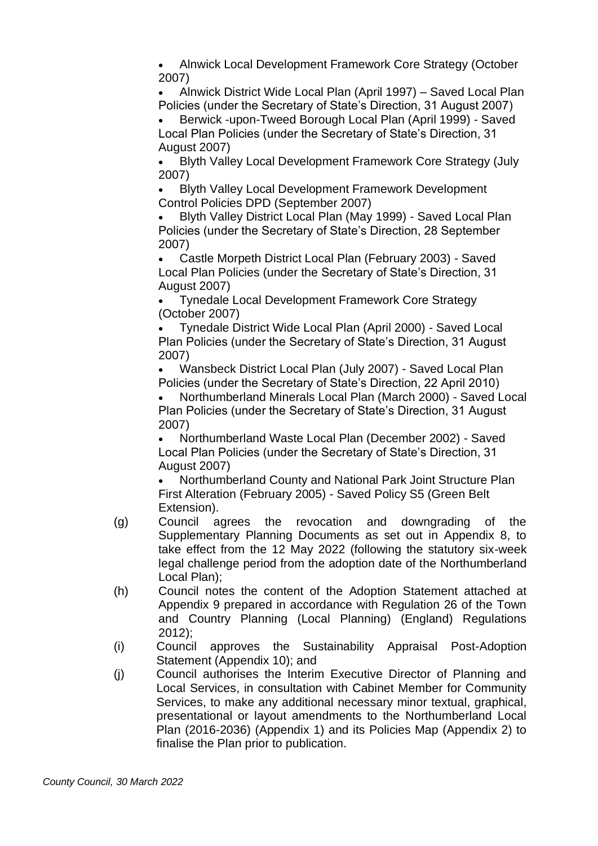• Alnwick Local Development Framework Core Strategy (October 2007)

• Alnwick District Wide Local Plan (April 1997) – Saved Local Plan Policies (under the Secretary of State's Direction, 31 August 2007)

• Berwick -upon-Tweed Borough Local Plan (April 1999) - Saved Local Plan Policies (under the Secretary of State's Direction, 31 August 2007)

• Blyth Valley Local Development Framework Core Strategy (July 2007)

• Blyth Valley Local Development Framework Development Control Policies DPD (September 2007)

• Blyth Valley District Local Plan (May 1999) - Saved Local Plan Policies (under the Secretary of State's Direction, 28 September 2007)

• Castle Morpeth District Local Plan (February 2003) - Saved Local Plan Policies (under the Secretary of State's Direction, 31 August 2007)

• Tynedale Local Development Framework Core Strategy (October 2007)

• Tynedale District Wide Local Plan (April 2000) - Saved Local Plan Policies (under the Secretary of State's Direction, 31 August 2007)

• Wansbeck District Local Plan (July 2007) - Saved Local Plan Policies (under the Secretary of State's Direction, 22 April 2010)

• Northumberland Minerals Local Plan (March 2000) - Saved Local Plan Policies (under the Secretary of State's Direction, 31 August 2007)

• Northumberland Waste Local Plan (December 2002) - Saved Local Plan Policies (under the Secretary of State's Direction, 31 August 2007)

• Northumberland County and National Park Joint Structure Plan First Alteration (February 2005) - Saved Policy S5 (Green Belt Extension).

- (g) Council agrees the revocation and downgrading of the Supplementary Planning Documents as set out in Appendix 8, to take effect from the 12 May 2022 (following the statutory six-week legal challenge period from the adoption date of the Northumberland Local Plan);
- (h) Council notes the content of the Adoption Statement attached at Appendix 9 prepared in accordance with Regulation 26 of the Town and Country Planning (Local Planning) (England) Regulations 2012);
- (i) Council approves the Sustainability Appraisal Post-Adoption Statement (Appendix 10); and
- (j) Council authorises the Interim Executive Director of Planning and Local Services, in consultation with Cabinet Member for Community Services, to make any additional necessary minor textual, graphical, presentational or layout amendments to the Northumberland Local Plan (2016-2036) (Appendix 1) and its Policies Map (Appendix 2) to finalise the Plan prior to publication.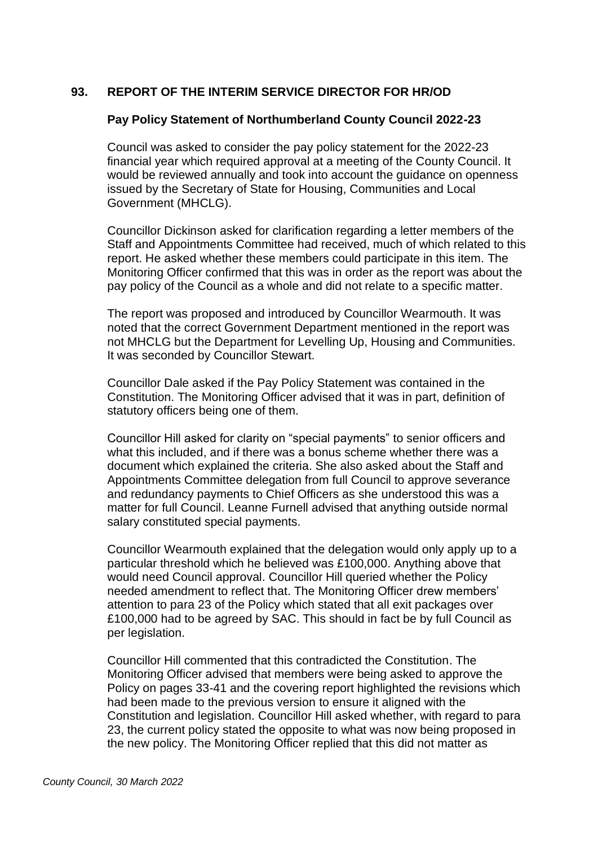## **93. REPORT OF THE INTERIM SERVICE DIRECTOR FOR HR/OD**

#### **Pay Policy Statement of Northumberland County Council 2022-23**

Council was asked to consider the pay policy statement for the 2022-23 financial year which required approval at a meeting of the County Council. It would be reviewed annually and took into account the guidance on openness issued by the Secretary of State for Housing, Communities and Local Government (MHCLG).

Councillor Dickinson asked for clarification regarding a letter members of the Staff and Appointments Committee had received, much of which related to this report. He asked whether these members could participate in this item. The Monitoring Officer confirmed that this was in order as the report was about the pay policy of the Council as a whole and did not relate to a specific matter.

The report was proposed and introduced by Councillor Wearmouth. It was noted that the correct Government Department mentioned in the report was not MHCLG but the Department for Levelling Up, Housing and Communities. It was seconded by Councillor Stewart.

Councillor Dale asked if the Pay Policy Statement was contained in the Constitution. The Monitoring Officer advised that it was in part, definition of statutory officers being one of them.

Councillor Hill asked for clarity on "special payments" to senior officers and what this included, and if there was a bonus scheme whether there was a document which explained the criteria. She also asked about the Staff and Appointments Committee delegation from full Council to approve severance and redundancy payments to Chief Officers as she understood this was a matter for full Council. Leanne Furnell advised that anything outside normal salary constituted special payments.

Councillor Wearmouth explained that the delegation would only apply up to a particular threshold which he believed was £100,000. Anything above that would need Council approval. Councillor Hill queried whether the Policy needed amendment to reflect that. The Monitoring Officer drew members' attention to para 23 of the Policy which stated that all exit packages over £100,000 had to be agreed by SAC. This should in fact be by full Council as per legislation.

Councillor Hill commented that this contradicted the Constitution. The Monitoring Officer advised that members were being asked to approve the Policy on pages 33-41 and the covering report highlighted the revisions which had been made to the previous version to ensure it aligned with the Constitution and legislation. Councillor Hill asked whether, with regard to para 23, the current policy stated the opposite to what was now being proposed in the new policy. The Monitoring Officer replied that this did not matter as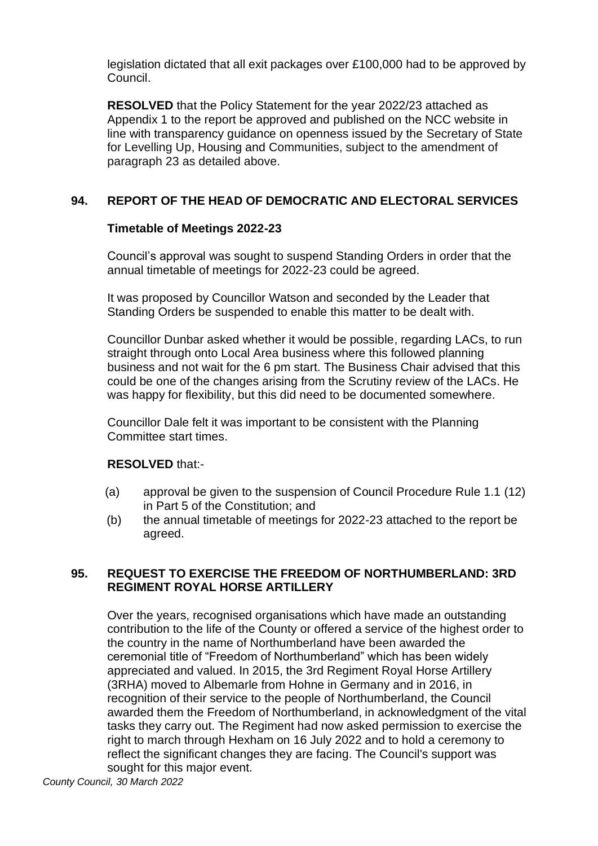legislation dictated that all exit packages over £100,000 had to be approved by Council.

**RESOLVED** that the Policy Statement for the year 2022/23 attached as Appendix 1 to the report be approved and published on the NCC website in line with transparency guidance on openness issued by the Secretary of State for Levelling Up, Housing and Communities, subject to the amendment of paragraph 23 as detailed above.

# **94. REPORT OF THE HEAD OF DEMOCRATIC AND ELECTORAL SERVICES**

## **Timetable of Meetings 2022-23**

Council's approval was sought to suspend Standing Orders in order that the annual timetable of meetings for 2022-23 could be agreed.

It was proposed by Councillor Watson and seconded by the Leader that Standing Orders be suspended to enable this matter to be dealt with.

Councillor Dunbar asked whether it would be possible, regarding LACs, to run straight through onto Local Area business where this followed planning business and not wait for the 6 pm start. The Business Chair advised that this could be one of the changes arising from the Scrutiny review of the LACs. He was happy for flexibility, but this did need to be documented somewhere.

Councillor Dale felt it was important to be consistent with the Planning Committee start times.

### **RESOLVED** that:-

- (a) approval be given to the suspension of Council Procedure Rule 1.1 (12) in Part 5 of the Constitution; and
- (b) the annual timetable of meetings for 2022-23 attached to the report be agreed.

## **95. REQUEST TO EXERCISE THE FREEDOM OF NORTHUMBERLAND: 3RD REGIMENT ROYAL HORSE ARTILLERY**

Over the years, recognised organisations which have made an outstanding contribution to the life of the County or offered a service of the highest order to the country in the name of Northumberland have been awarded the ceremonial title of "Freedom of Northumberland" which has been widely appreciated and valued. In 2015, the 3rd Regiment Royal Horse Artillery (3RHA) moved to Albemarle from Hohne in Germany and in 2016, in recognition of their service to the people of Northumberland, the Council awarded them the Freedom of Northumberland, in acknowledgment of the vital tasks they carry out. The Regiment had now asked permission to exercise the right to march through Hexham on 16 July 2022 and to hold a ceremony to reflect the significant changes they are facing. The Council's support was sought for this major event.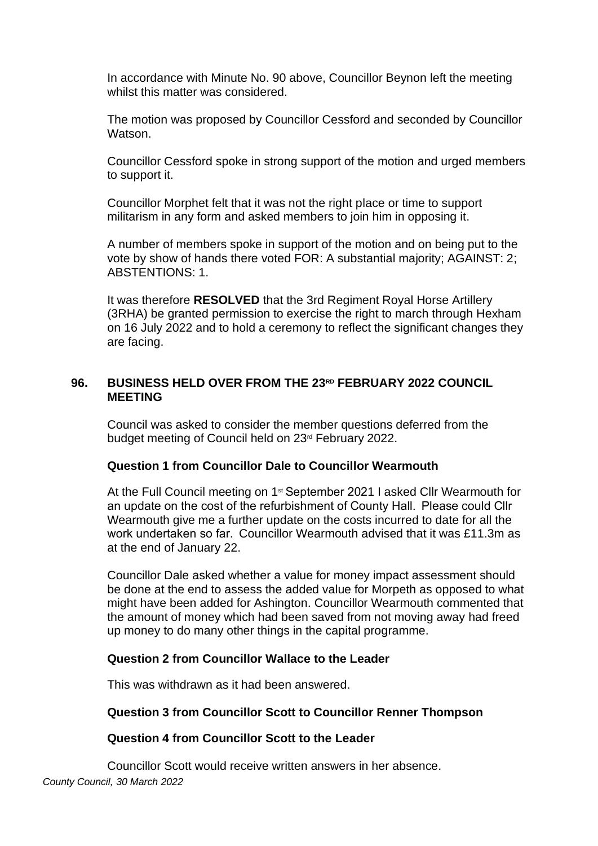In accordance with Minute No. 90 above, Councillor Beynon left the meeting whilst this matter was considered.

The motion was proposed by Councillor Cessford and seconded by Councillor Watson.

Councillor Cessford spoke in strong support of the motion and urged members to support it.

Councillor Morphet felt that it was not the right place or time to support militarism in any form and asked members to join him in opposing it.

A number of members spoke in support of the motion and on being put to the vote by show of hands there voted FOR: A substantial majority; AGAINST: 2; ABSTENTIONS: 1.

It was therefore **RESOLVED** that the 3rd Regiment Royal Horse Artillery (3RHA) be granted permission to exercise the right to march through Hexham on 16 July 2022 and to hold a ceremony to reflect the significant changes they are facing.

## **96. BUSINESS HELD OVER FROM THE 23RD FEBRUARY 2022 COUNCIL MEETING**

Council was asked to consider the member questions deferred from the budget meeting of Council held on 23rd February 2022.

### **Question 1 from Councillor Dale to Councillor Wearmouth**

At the Full Council meeting on 1st September 2021 I asked Cllr Wearmouth for an update on the cost of the refurbishment of County Hall.  Please could Cllr Wearmouth give me a further update on the costs incurred to date for all the work undertaken so far.  Councillor Wearmouth advised that it was £11.3m as at the end of January 22.

Councillor Dale asked whether a value for money impact assessment should be done at the end to assess the added value for Morpeth as opposed to what might have been added for Ashington. Councillor Wearmouth commented that the amount of money which had been saved from not moving away had freed up money to do many other things in the capital programme.

### **Question 2 from Councillor Wallace to the Leader**

This was withdrawn as it had been answered.

### **Question 3 from Councillor Scott to Councillor Renner Thompson**

#### **Question 4 from Councillor Scott to the Leader**

*County Council, 30 March 2022* Councillor Scott would receive written answers in her absence.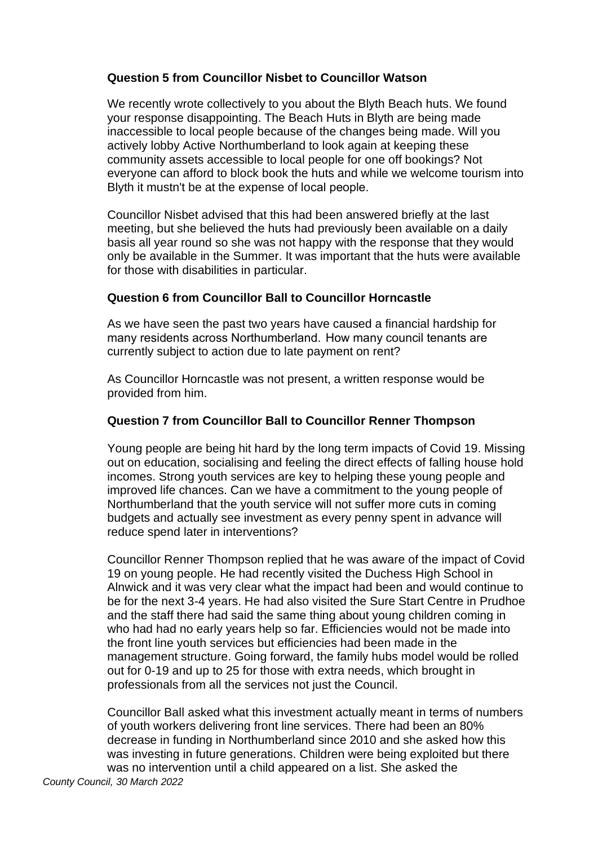## **Question 5 from Councillor Nisbet to Councillor Watson**

We recently wrote collectively to you about the Blyth Beach huts. We found your response disappointing. The Beach Huts in Blyth are being made inaccessible to local people because of the changes being made. Will you actively lobby Active Northumberland to look again at keeping these community assets accessible to local people for one off bookings? Not everyone can afford to block book the huts and while we welcome tourism into Blyth it mustn't be at the expense of local people. 

Councillor Nisbet advised that this had been answered briefly at the last meeting, but she believed the huts had previously been available on a daily basis all year round so she was not happy with the response that they would only be available in the Summer. It was important that the huts were available for those with disabilities in particular.

## **Question 6 from Councillor Ball to Councillor Horncastle**

As we have seen the past two years have caused a financial hardship for many residents across Northumberland.  How many council tenants are currently subject to action due to late payment on rent?

As Councillor Horncastle was not present, a written response would be provided from him.

## **Question 7 from Councillor Ball to Councillor Renner Thompson**

Young people are being hit hard by the long term impacts of Covid 19. Missing out on education, socialising and feeling the direct effects of falling house hold incomes. Strong youth services are key to helping these young people and improved life chances. Can we have a commitment to the young people of Northumberland that the youth service will not suffer more cuts in coming budgets and actually see investment as every penny spent in advance will reduce spend later in interventions?

Councillor Renner Thompson replied that he was aware of the impact of Covid 19 on young people. He had recently visited the Duchess High School in Alnwick and it was very clear what the impact had been and would continue to be for the next 3-4 years. He had also visited the Sure Start Centre in Prudhoe and the staff there had said the same thing about young children coming in who had had no early years help so far. Efficiencies would not be made into the front line youth services but efficiencies had been made in the management structure. Going forward, the family hubs model would be rolled out for 0-19 and up to 25 for those with extra needs, which brought in professionals from all the services not just the Council.

Councillor Ball asked what this investment actually meant in terms of numbers of youth workers delivering front line services. There had been an 80% decrease in funding in Northumberland since 2010 and she asked how this was investing in future generations. Children were being exploited but there was no intervention until a child appeared on a list. She asked the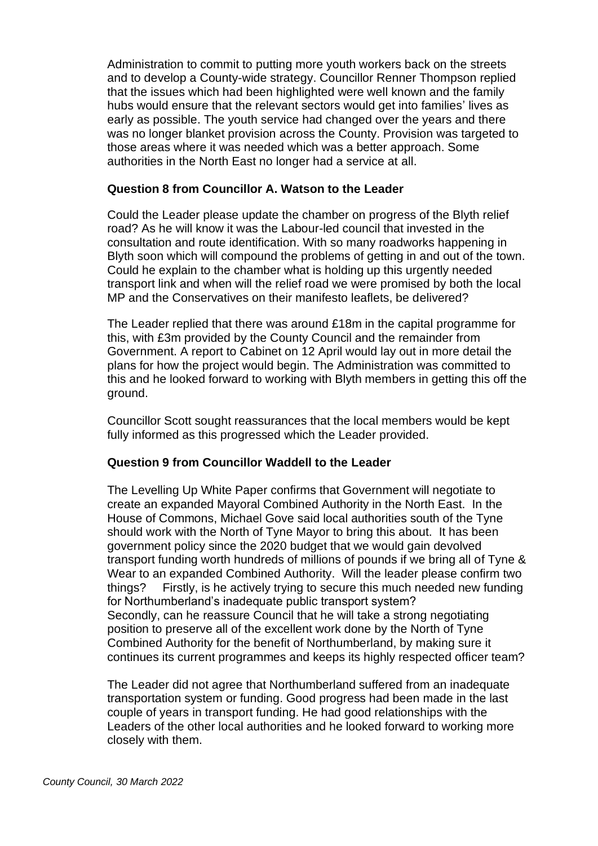Administration to commit to putting more youth workers back on the streets and to develop a County-wide strategy. Councillor Renner Thompson replied that the issues which had been highlighted were well known and the family hubs would ensure that the relevant sectors would get into families' lives as early as possible. The youth service had changed over the years and there was no longer blanket provision across the County. Provision was targeted to those areas where it was needed which was a better approach. Some authorities in the North East no longer had a service at all.

## **Question 8 from Councillor A. Watson to the Leader**

Could the Leader please update the chamber on progress of the Blyth relief road? As he will know it was the Labour-led council that invested in the consultation and route identification. With so many roadworks happening in Blyth soon which will compound the problems of getting in and out of the town. Could he explain to the chamber what is holding up this urgently needed transport link and when will the relief road we were promised by both the local MP and the Conservatives on their manifesto leaflets, be delivered?

The Leader replied that there was around £18m in the capital programme for this, with £3m provided by the County Council and the remainder from Government. A report to Cabinet on 12 April would lay out in more detail the plans for how the project would begin. The Administration was committed to this and he looked forward to working with Blyth members in getting this off the ground.

Councillor Scott sought reassurances that the local members would be kept fully informed as this progressed which the Leader provided.

### **Question 9 from Councillor Waddell to the Leader**

The Levelling Up White Paper confirms that Government will negotiate to create an expanded Mayoral Combined Authority in the North East. In the House of Commons, Michael Gove said local authorities south of the Tyne should work with the North of Tyne Mayor to bring this about. It has been government policy since the 2020 budget that we would gain devolved transport funding worth hundreds of millions of pounds if we bring all of Tyne & Wear to an expanded Combined Authority. Will the leader please confirm two things? Firstly, is he actively trying to secure this much needed new funding for Northumberland's inadequate public transport system? Secondly, can he reassure Council that he will take a strong negotiating position to preserve all of the excellent work done by the North of Tyne Combined Authority for the benefit of Northumberland, by making sure it continues its current programmes and keeps its highly respected officer team?

The Leader did not agree that Northumberland suffered from an inadequate transportation system or funding. Good progress had been made in the last couple of years in transport funding. He had good relationships with the Leaders of the other local authorities and he looked forward to working more closely with them.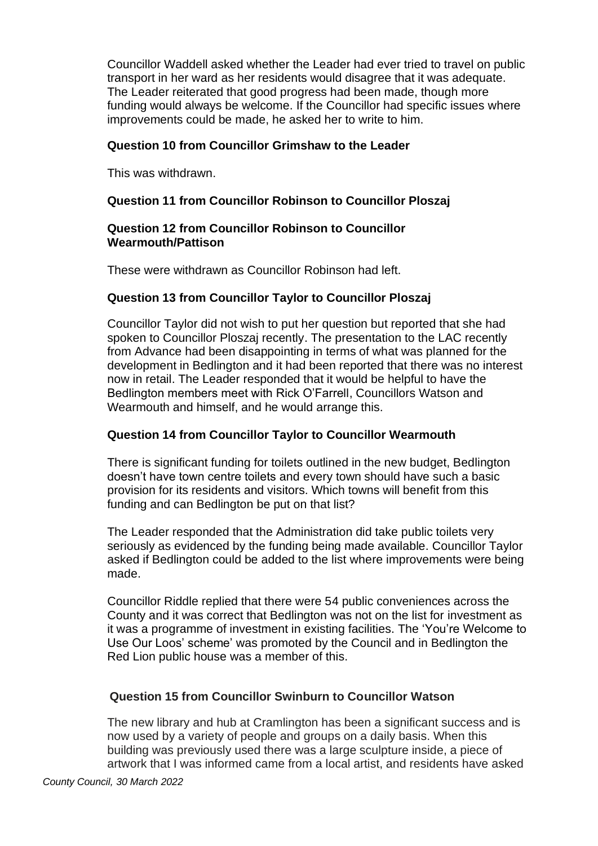Councillor Waddell asked whether the Leader had ever tried to travel on public transport in her ward as her residents would disagree that it was adequate. The Leader reiterated that good progress had been made, though more funding would always be welcome. If the Councillor had specific issues where improvements could be made, he asked her to write to him.

## **Question 10 from Councillor Grimshaw to the Leader**

This was withdrawn.

## **Question 11 from Councillor Robinson to Councillor Ploszaj**

### **Question 12 from Councillor Robinson to Councillor Wearmouth/Pattison**

These were withdrawn as Councillor Robinson had left.

## **Question 13 from Councillor Taylor to Councillor Ploszaj**

Councillor Taylor did not wish to put her question but reported that she had spoken to Councillor Ploszaj recently. The presentation to the LAC recently from Advance had been disappointing in terms of what was planned for the development in Bedlington and it had been reported that there was no interest now in retail. The Leader responded that it would be helpful to have the Bedlington members meet with Rick O'Farrell, Councillors Watson and Wearmouth and himself, and he would arrange this.

# **Question 14 from Councillor Taylor to Councillor Wearmouth**

There is significant funding for toilets outlined in the new budget, Bedlington doesn't have town centre toilets and every town should have such a basic provision for its residents and visitors. Which towns will benefit from this funding and can Bedlington be put on that list?

The Leader responded that the Administration did take public toilets very seriously as evidenced by the funding being made available. Councillor Taylor asked if Bedlington could be added to the list where improvements were being made.

Councillor Riddle replied that there were 54 public conveniences across the County and it was correct that Bedlington was not on the list for investment as it was a programme of investment in existing facilities. The 'You're Welcome to Use Our Loos' scheme' was promoted by the Council and in Bedlington the Red Lion public house was a member of this.

### **Question 15 from Councillor Swinburn to Councillor Watson**

The new library and hub at Cramlington has been a significant success and is now used by a variety of people and groups on a daily basis. When this building was previously used there was a large sculpture inside, a piece of artwork that I was informed came from a local artist, and residents have asked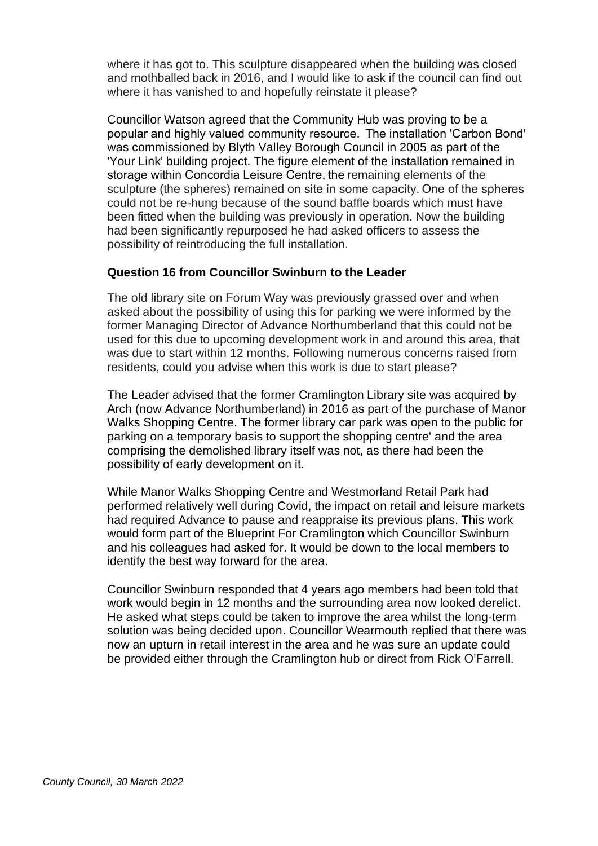where it has got to. This sculpture disappeared when the building was closed and mothballed back in 2016, and I would like to ask if the council can find out where it has vanished to and hopefully reinstate it please?

Councillor Watson agreed that the Community Hub was proving to be a popular and highly valued community resource.  The installation 'Carbon Bond' was commissioned by Blyth Valley Borough Council in 2005 as part of the 'Your Link' building project. The figure element of the installation remained in storage within Concordia Leisure Centre, the remaining elements of the sculpture (the spheres) remained on site in some capacity. One of the spheres could not be re-hung because of the sound baffle boards which must have been fitted when the building was previously in operation. Now the building had been significantly repurposed he had asked officers to assess the possibility of reintroducing the full installation.

#### **Question 16 from Councillor Swinburn to the Leader**

The old library site on Forum Way was previously grassed over and when asked about the possibility of using this for parking we were informed by the former Managing Director of Advance Northumberland that this could not be used for this due to upcoming development work in and around this area, that was due to start within 12 months. Following numerous concerns raised from residents, could you advise when this work is due to start please?

The Leader advised that the former Cramlington Library site was acquired by Arch (now Advance Northumberland) in 2016 as part of the purchase of Manor Walks Shopping Centre. The former library car park was open to the public for parking on a temporary basis to support the shopping centre' and the area comprising the demolished library itself was not, as there had been the possibility of early development on it.  

While Manor Walks Shopping Centre and Westmorland Retail Park had performed relatively well during Covid, the impact on retail and leisure markets had required Advance to pause and reappraise its previous plans. This work would form part of the Blueprint For Cramlington which Councillor Swinburn and his colleagues had asked for. It would be down to the local members to identify the best way forward for the area.

Councillor Swinburn responded that 4 years ago members had been told that work would begin in 12 months and the surrounding area now looked derelict. He asked what steps could be taken to improve the area whilst the long-term solution was being decided upon. Councillor Wearmouth replied that there was now an upturn in retail interest in the area and he was sure an update could be provided either through the Cramlington hub or direct from Rick O'Farrell.